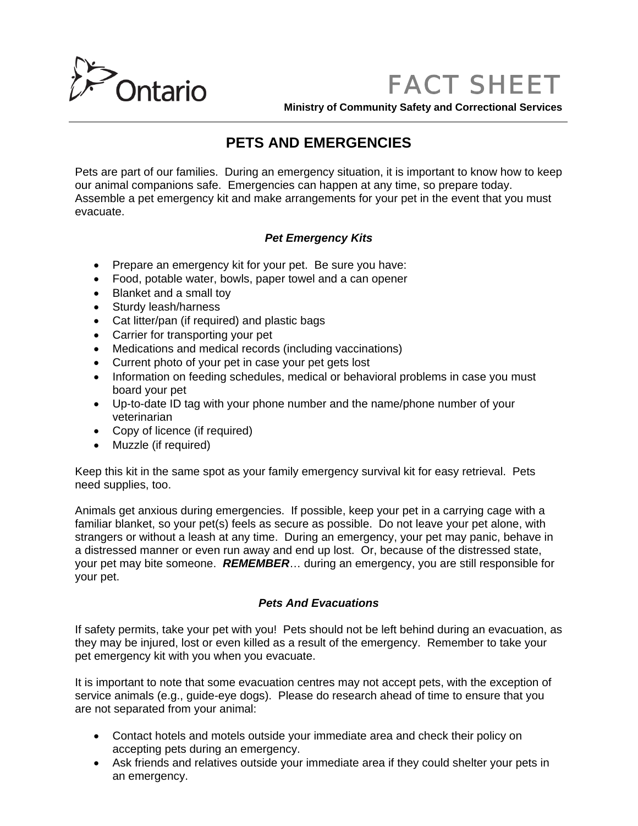

*FACT SHEET*

**Ministry of Community Safety and Correctional Services**

# **PETS AND EMERGENCIES**

Pets are part of our families. During an emergency situation, it is important to know how to keep our animal companions safe. Emergencies can happen at any time, so prepare today. Assemble a pet emergency kit and make arrangements for your pet in the event that you must evacuate.

### *Pet Emergency Kits*

- Prepare an emergency kit for your pet. Be sure you have:
- Food, potable water, bowls, paper towel and a can opener
- Blanket and a small toy
- Sturdy leash/harness
- Cat litter/pan (if required) and plastic bags
- Carrier for transporting your pet
- Medications and medical records (including vaccinations)
- Current photo of your pet in case your pet gets lost
- Information on feeding schedules, medical or behavioral problems in case you must board your pet
- Up-to-date ID tag with your phone number and the name/phone number of your veterinarian
- Copy of licence (if required)
- Muzzle (if required)

Keep this kit in the same spot as your family emergency survival kit for easy retrieval. Pets need supplies, too.

Animals get anxious during emergencies. If possible, keep your pet in a carrying cage with a familiar blanket, so your pet(s) feels as secure as possible. Do not leave your pet alone, with strangers or without a leash at any time. During an emergency, your pet may panic, behave in a distressed manner or even run away and end up lost. Or, because of the distressed state, your pet may bite someone. *REMEMBER*… during an emergency, you are still responsible for your pet.

#### *Pets And Evacuations*

If safety permits, take your pet with you! Pets should not be left behind during an evacuation, as they may be injured, lost or even killed as a result of the emergency. Remember to take your pet emergency kit with you when you evacuate.

It is important to note that some evacuation centres may not accept pets, with the exception of service animals (e.g., guide-eye dogs). Please do research ahead of time to ensure that you are not separated from your animal:

- Contact hotels and motels outside your immediate area and check their policy on accepting pets during an emergency.
- Ask friends and relatives outside your immediate area if they could shelter your pets in an emergency.